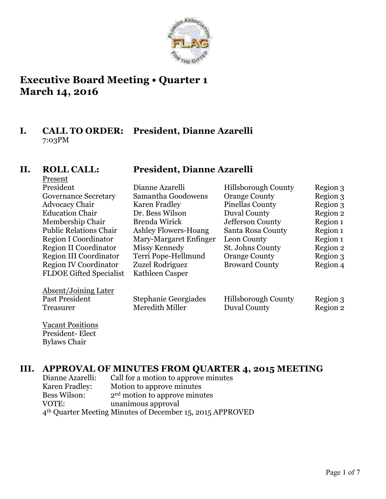

# **Executive Board Meeting • Quarter 1 March 14, 2016**

## **I. CALL TO ORDER: President, Dianne Azarelli** 7:03PM

# Drocon<sup>+</sup>

## **II. ROLL CALL: President, Dianne Azarelli**

| <u>r reselit</u>                                                                                                                                                                                                                                                                                                                          |                             |                            |          |
|-------------------------------------------------------------------------------------------------------------------------------------------------------------------------------------------------------------------------------------------------------------------------------------------------------------------------------------------|-----------------------------|----------------------------|----------|
| President                                                                                                                                                                                                                                                                                                                                 | Dianne Azarelli             | <b>Hillsborough County</b> | Region 3 |
| <b>Governance Secretary</b>                                                                                                                                                                                                                                                                                                               | Samantha Goodowens          | <b>Orange County</b>       | Region 3 |
| <b>Advocacy Chair</b>                                                                                                                                                                                                                                                                                                                     | Karen Fradley               | <b>Pinellas County</b>     | Region 3 |
| <b>Education Chair</b>                                                                                                                                                                                                                                                                                                                    | Dr. Bess Wilson             | <b>Duval County</b>        | Region 2 |
| Membership Chair                                                                                                                                                                                                                                                                                                                          | <b>Brenda Wirick</b>        | Jefferson County           | Region 1 |
| <b>Public Relations Chair</b>                                                                                                                                                                                                                                                                                                             | <b>Ashley Flowers-Hoang</b> | Santa Rosa County          | Region 1 |
| <b>Region I Coordinator</b>                                                                                                                                                                                                                                                                                                               | Mary-Margaret Enfinger      | Leon County                | Region 1 |
| <b>Region II Coordinator</b>                                                                                                                                                                                                                                                                                                              | Missy Kennedy               | St. Johns County           | Region 2 |
| Region III Coordinator                                                                                                                                                                                                                                                                                                                    | Terri Pope-Hellmund         | <b>Orange County</b>       | Region 3 |
| Region IV Coordinator                                                                                                                                                                                                                                                                                                                     | Zuzel Rodriguez             | <b>Broward County</b>      | Region 4 |
| <b>FLDOE Gifted Specialist</b>                                                                                                                                                                                                                                                                                                            | Kathleen Casper             |                            |          |
| Absent/Joining Later                                                                                                                                                                                                                                                                                                                      |                             |                            |          |
| Past President                                                                                                                                                                                                                                                                                                                            | <b>Stephanie Georgiades</b> | <b>Hillsborough County</b> | Region 3 |
| <b>Treasurer</b>                                                                                                                                                                                                                                                                                                                          | Meredith Miller             | <b>Duval County</b>        | Region 2 |
| $\mathbf{V}$ , $\mathbf{V}$ , $\mathbf{V}$ , $\mathbf{V}$ , $\mathbf{V}$ , $\mathbf{V}$ , $\mathbf{V}$ , $\mathbf{V}$ , $\mathbf{V}$ , $\mathbf{V}$ , $\mathbf{V}$ , $\mathbf{V}$ , $\mathbf{V}$ , $\mathbf{V}$ , $\mathbf{V}$ , $\mathbf{V}$ , $\mathbf{V}$ , $\mathbf{V}$ , $\mathbf{V}$ , $\mathbf{V}$ , $\mathbf{V}$ , $\mathbf{V}$ , |                             |                            |          |

#### Vacant Positions President- Elect Bylaws Chair

# **III. APPROVAL OF MINUTES FROM QUARTER 4, 2015 MEETING**

| Dianne Azarelli: | Call for a motion to approve minutes                      |
|------------------|-----------------------------------------------------------|
| Karen Fradley:   | Motion to approve minutes                                 |
| Bess Wilson:     | 2 <sup>nd</sup> motion to approve minutes                 |
| VOTE:            | unanimous approval                                        |
|                  | 4th Quarter Meeting Minutes of December 15, 2015 APPROVED |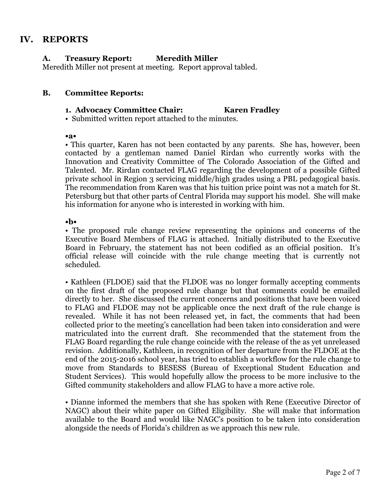## **IV. REPORTS**

## **A. Treasury Report: Meredith Miller**

Meredith Miller not present at meeting. Report approval tabled.

## **B. Committee Reports:**

#### **1. Advocacy Committee Chair: Karen Fradley**

• Submitted written report attached to the minutes.

#### **•a•**

• This quarter, Karen has not been contacted by any parents. She has, however, been contacted by a gentleman named Daniel Rirdan who currently works with the Innovation and Creativity Committee of The Colorado Association of the Gifted and Talented. Mr. Rirdan contacted FLAG regarding the development of a possible Gifted private school in Region 3 servicing middle/high grades using a PBL pedagogical basis. The recommendation from Karen was that his tuition price point was not a match for St. Petersburg but that other parts of Central Florida may support his model. She will make his information for anyone who is interested in working with him.

#### **•b•**

• The proposed rule change review representing the opinions and concerns of the Executive Board Members of FLAG is attached. Initially distributed to the Executive Board in February, the statement has not been codified as an official position. It's official release will coincide with the rule change meeting that is currently not scheduled.

• Kathleen (FLDOE) said that the FLDOE was no longer formally accepting comments on the first draft of the proposed rule change but that comments could be emailed directly to her. She discussed the current concerns and positions that have been voiced to FLAG and FLDOE may not be applicable once the next draft of the rule change is revealed. While it has not been released yet, in fact, the comments that had been collected prior to the meeting's cancellation had been taken into consideration and were matriculated into the current draft. She recommended that the statement from the FLAG Board regarding the rule change coincide with the release of the as yet unreleased revision. Additionally, Kathleen, in recognition of her departure from the FLDOE at the end of the 2015-2016 school year, has tried to establish a workflow for the rule change to move from Standards to BESESS (Bureau of Exceptional Student Education and Student Services). This would hopefully allow the process to be more inclusive to the Gifted community stakeholders and allow FLAG to have a more active role.

• Dianne informed the members that she has spoken with Rene (Executive Director of NAGC) about their white paper on Gifted Eligibility. She will make that information available to the Board and would like NAGC's position to be taken into consideration alongside the needs of Florida's children as we approach this new rule.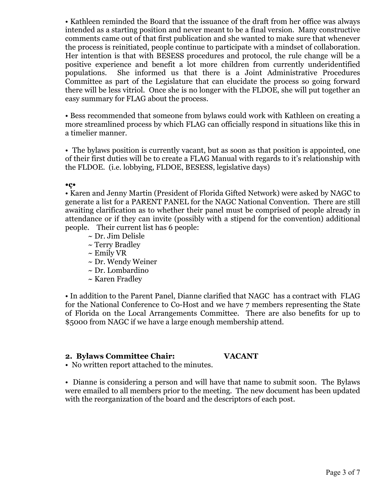• Kathleen reminded the Board that the issuance of the draft from her office was always intended as a starting position and never meant to be a final version. Many constructive comments came out of that first publication and she wanted to make sure that whenever the process is reinitiated, people continue to participate with a mindset of collaboration. Her intention is that with BESESS procedures and protocol, the rule change will be a positive experience and benefit a lot more children from currently underidentified populations. She informed us that there is a Joint Administrative Procedures Committee as part of the Legislature that can elucidate the process so going forward there will be less vitriol. Once she is no longer with the FLDOE, she will put together an easy summary for FLAG about the process.

• Bess recommended that someone from bylaws could work with Kathleen on creating a more streamlined process by which FLAG can officially respond in situations like this in a timelier manner.

• The bylaws position is currently vacant, but as soon as that position is appointed, one of their first duties will be to create a FLAG Manual with regards to it's relationship with the FLDOE. (i.e. lobbying, FLDOE, BESESS, legislative days)

## **•ç•**

• Karen and Jenny Martin (President of Florida Gifted Network) were asked by NAGC to generate a list for a PARENT PANEL for the NAGC National Convention. There are still awaiting clarification as to whether their panel must be comprised of people already in attendance or if they can invite (possibly with a stipend for the convention) additional people. Their current list has 6 people:

- ~ Dr. Jim Delisle
- ~ Terry Bradley
- $\sim$  Emily VR
- ~ Dr. Wendy Weiner
- ~ Dr. Lombardino
- ~ Karen Fradley

• In addition to the Parent Panel, Dianne clarified that NAGC has a contract with FLAG for the National Conference to Co-Host and we have 7 members representing the State of Florida on the Local Arrangements Committee. There are also benefits for up to \$5000 from NAGC if we have a large enough membership attend.

## **2. Bylaws Committee Chair: VACANT**

• No written report attached to the minutes.

• Dianne is considering a person and will have that name to submit soon. The Bylaws were emailed to all members prior to the meeting. The new document has been updated with the reorganization of the board and the descriptors of each post.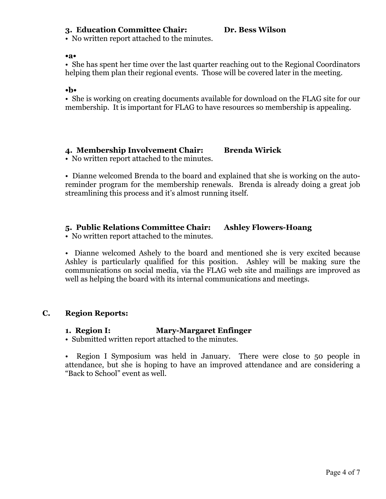## **3. Education Committee Chair: Dr. Bess Wilson**

• No written report attached to the minutes.

#### **•a•**

• She has spent her time over the last quarter reaching out to the Regional Coordinators helping them plan their regional events. Those will be covered later in the meeting.

#### **•b•**

• She is working on creating documents available for download on the FLAG site for our membership. It is important for FLAG to have resources so membership is appealing.

## **4. Membership Involvement Chair: Brenda Wirick**

• No written report attached to the minutes.

• Dianne welcomed Brenda to the board and explained that she is working on the autoreminder program for the membership renewals. Brenda is already doing a great job streamlining this process and it's almost running itself.

## **5. Public Relations Committee Chair: Ashley Flowers-Hoang**

• No written report attached to the minutes.

• Dianne welcomed Ashely to the board and mentioned she is very excited because Ashley is particularly qualified for this position. Ashley will be making sure the communications on social media, via the FLAG web site and mailings are improved as well as helping the board with its internal communications and meetings.

## **C. Region Reports:**

## **1. Region I: Mary-Margaret Enfinger**

• Submitted written report attached to the minutes.

• Region I Symposium was held in January. There were close to 50 people in attendance, but she is hoping to have an improved attendance and are considering a "Back to School" event as well.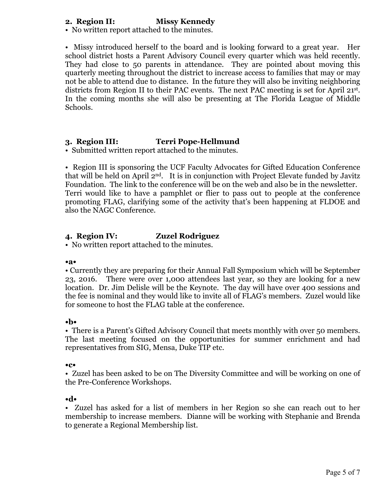## **2. Region II: Missy Kennedy**

• No written report attached to the minutes.

• Missy introduced herself to the board and is looking forward to a great year. Her school district hosts a Parent Advisory Council every quarter which was held recently. They had close to 50 parents in attendance. They are pointed about moving this quarterly meeting throughout the district to increase access to families that may or may not be able to attend due to distance. In the future they will also be inviting neighboring districts from Region II to their PAC events. The next PAC meeting is set for April 21st. In the coming months she will also be presenting at The Florida League of Middle Schools.

## **3. Region III: Terri Pope-Hellmund**

• Submitted written report attached to the minutes.

• Region III is sponsoring the UCF Faculty Advocates for Gifted Education Conference that will be held on April 2nd. It is in conjunction with Project Elevate funded by Javitz Foundation. The link to the conference will be on the web and also be in the newsletter. Terri would like to have a pamphlet or flier to pass out to people at the conference promoting FLAG, clarifying some of the activity that's been happening at FLDOE and also the NAGC Conference.

## **4. Region IV: Zuzel Rodriguez**

• No written report attached to the minutes.

**•a•**

• Currently they are preparing for their Annual Fall Symposium which will be September 23, 2016. There were over 1,000 attendees last year, so they are looking for a new location. Dr. Jim Delisle will be the Keynote. The day will have over 400 sessions and the fee is nominal and they would like to invite all of FLAG's members. Zuzel would like for someone to host the FLAG table at the conference.

## **•b•**

• There is a Parent's Gifted Advisory Council that meets monthly with over 50 members. The last meeting focused on the opportunities for summer enrichment and had representatives from SIG, Mensa, Duke TIP etc.

**•c•**

• Zuzel has been asked to be on The Diversity Committee and will be working on one of the Pre-Conference Workshops.

**•d•**

• Zuzel has asked for a list of members in her Region so she can reach out to her membership to increase members. Dianne will be working with Stephanie and Brenda to generate a Regional Membership list.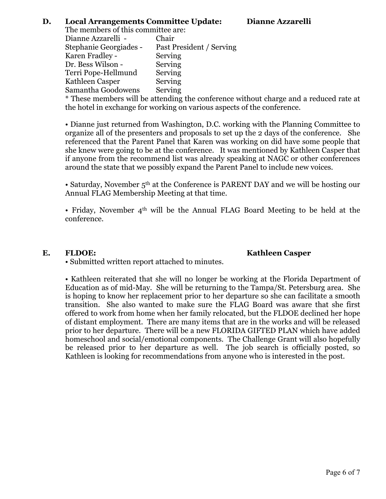## **D. Local Arrangements Committee Update: Dianne Azzarelli**

| The members of this committee are: |  |  |  |
|------------------------------------|--|--|--|
| Chair                              |  |  |  |
| Past President / Serving           |  |  |  |
| Serving                            |  |  |  |
| Serving                            |  |  |  |
| Serving                            |  |  |  |
| Serving                            |  |  |  |
| Serving                            |  |  |  |
|                                    |  |  |  |

\* These members will be attending the conference without charge and a reduced rate at the hotel in exchange for working on various aspects of the conference.

• Dianne just returned from Washington, D.C. working with the Planning Committee to organize all of the presenters and proposals to set up the 2 days of the conference. She referenced that the Parent Panel that Karen was working on did have some people that she knew were going to be at the conference. It was mentioned by Kathleen Casper that if anyone from the recommend list was already speaking at NAGC or other conferences around the state that we possibly expand the Parent Panel to include new voices.

• Saturday, November  $5<sup>th</sup>$  at the Conference is PARENT DAY and we will be hosting our Annual FLAG Membership Meeting at that time.

• Friday, November 4<sup>th</sup> will be the Annual FLAG Board Meeting to be held at the conference.

## **E. FLDOE: Kathleen Casper**

• Submitted written report attached to minutes.

• Kathleen reiterated that she will no longer be working at the Florida Department of Education as of mid-May. She will be returning to the Tampa/St. Petersburg area. She is hoping to know her replacement prior to her departure so she can facilitate a smooth transition. She also wanted to make sure the FLAG Board was aware that she first offered to work from home when her family relocated, but the FLDOE declined her hope of distant employment. There are many items that are in the works and will be released prior to her departure. There will be a new FLORIDA GIFTED PLAN which have added homeschool and social/emotional components. The Challenge Grant will also hopefully be released prior to her departure as well. The job search is officially posted, so Kathleen is looking for recommendations from anyone who is interested in the post.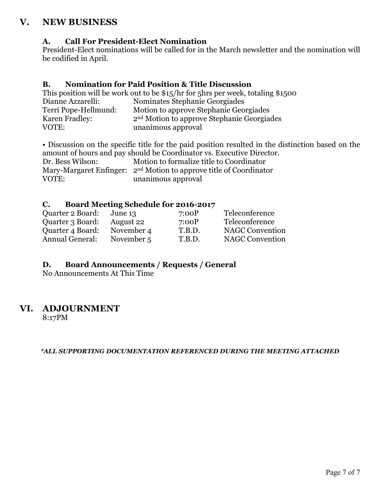## **V. NEW BUSINESS**

## **A. Call For President-Elect Nomination**

President-Elect nominations will be called for in the March newsletter and the nomination will be codified in April.

## **B. Nomination for Paid Position & Title Discussion**

| This position will be work out to be \$15/hr for 5hrs per week, totaling \$1500 |  |
|---------------------------------------------------------------------------------|--|
| Nominates Stephanie Georgiades<br>Dianne Azzarelli:                             |  |
| Motion to approve Stephanie Georgiades<br>Terri Pope-Hellmund:                  |  |
| 2 <sup>nd</sup> Motion to approve Stephanie Georgiades<br>Karen Fradley:        |  |
| unanimous approval<br>VOTE:                                                     |  |

• Discussion on the specific title for the paid position resulted in the distinction based on the amount of hours and pay should be Coordinator vs. Executive Director.<br>Dr. Bess Wilson: Motion to formalize title to Coordinator Motion to formalize title to Coordinator Mary-Margaret Enfinger: 2nd Motion to approve title of Coordinator VOTE: unanimous approval

## **C. Board Meeting Schedule for 2016-2017**

| Quarter 2 Board:       | June 13    | 7:00P  | Teleconference         |
|------------------------|------------|--------|------------------------|
| Quarter 3 Board:       | August 22  | 7:00P  | Teleconference         |
| Quarter 4 Board:       | November 4 | T.B.D. | <b>NAGC Convention</b> |
| <b>Annual General:</b> | November 5 | T.B.D. | <b>NAGC Convention</b> |

## **D. Board Announcements / Requests / General**

No Announcements At This Time

## **VI. ADJOURNMENT**

8:17PM

*\*ALL SUPPORTING DOCUMENTATION REFERENCED DURING THE MEETING ATTACHED*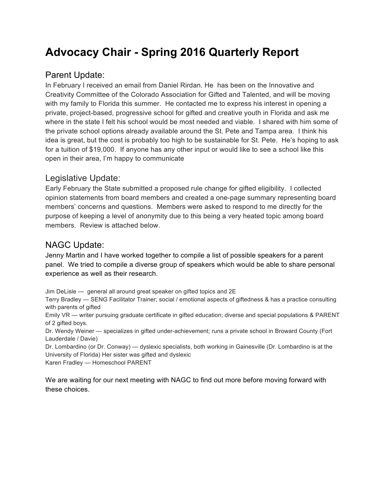# **Advocacy Chair - Spring 2016 Quarterly Report**

## Parent Update:

In February I received an email from Daniel Rirdan. He has been on the Innovative and Creativity Committee of the Colorado Association for Gifted and Talented, and will be moving with my family to Florida this summer. He contacted me to express his interest in opening a private, project-based, progressive school for gifted and creative youth in Florida and ask me where in the state I felt his school would be most needed and viable. I shared with him some of the private school options already available around the St. Pete and Tampa area. I think his idea is great, but the cost is probably too high to be sustainable for St. Pete. He's hoping to ask for a tuition of \$19,000. If anyone has any other input or would like to see a school like this open in their area, I'm happy to communicate

## Legislative Update:

Early February the State submitted a proposed rule change for gifted eligibility. I collected opinion statements from board members and created a one-page summary representing board members' concerns and questions. Members were asked to respond to me directly for the purpose of keeping a level of anonymity due to this being a very heated topic among board members. Review is attached below.

## NAGC Update:

Jenny Martin and I have worked together to compile a list of possible speakers for a parent panel. We tried to compile a diverse group of speakers which would be able to share personal experience as well as their research.

Jim DeLisle — general all around great speaker on gifted topics and 2E

Terry Bradley — SENG Facilitator Trainer; social / emotional aspects of giftedness & has a practice consulting with parents of gifted

Emily VR — writer pursuing graduate certificate in gifted education; diverse and special populations & PARENT of 2 gifted boys.

Dr. Wendy Weiner — specializes in gifted under-achievement; runs a private school in Broward County (Fort Lauderdale / Davie)

Dr. Lombardino (or Dr. Conway) — dyslexic specialists, both working in Gainesville (Dr. Lombardino is at the University of Florida) Her sister was gifted and dyslexic

Karen Fradley — Homeschool PARENT

We are waiting for our next meeting with NAGC to find out more before moving forward with these choices.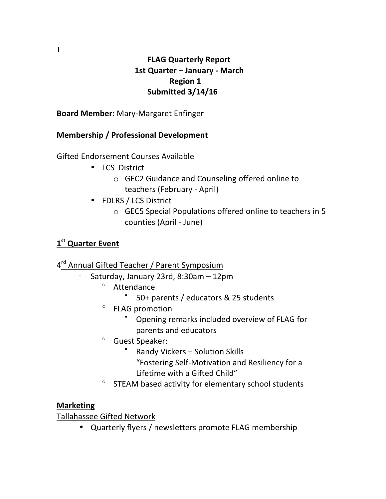## **FLAG Quarterly Report %%%%%1st Quarter – January%6 March Region 1 Submitted%3/14/16**

**Board Member: Mary-Margaret Enfinger** 

## **Membership / Professional Development**

Gifted Endorsement Courses Available

- LCS District
	- $\circ$  GEC2 Guidance and Counseling offered online to teachers (February - April)
- FDLRS / LCS District
	- $\circ$  GEC5 Special Populations offered online to teachers in 5 counties (April - June)

## **1st Quarter Event**

4<sup>rd</sup> Annual Gifted Teacher / Parent Symposium

- Saturday, January 23rd, 8:30am 12pm
	- Attendance
		- 50+ parents / educators & 25 students
	- $\degree$  FLAG promotion
		- Opening remarks included overview of FLAG for parents and educators
	- $^{\circ}$  Guest Speaker:
		- ' Randy Vickers Solution Skills
			- "Fostering Self-Motivation and Resiliency for a
			- Lifetime with a Gifted Child"
	- $\degree$  STEAM based activity for elementary school students

## **Marketing**

Tallahassee Gifted Network

• Quarterly flyers / newsletters promote FLAG membership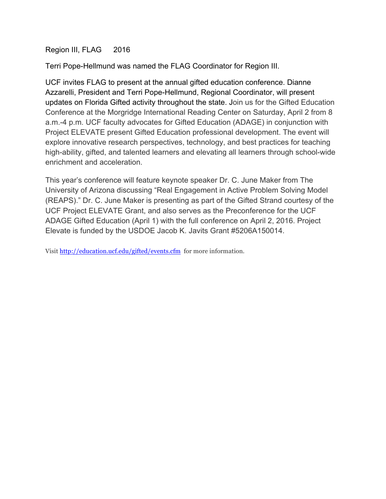Region III, FLAG 2016

Terri Pope-Hellmund was named the FLAG Coordinator for Region III.

UCF invites FLAG to present at the annual gifted education conference. Dianne Azzarelli, President and Terri Pope-Hellmund, Regional Coordinator, will present updates on Florida Gifted activity throughout the state. Join us for the Gifted Education Conference at the Morgridge International Reading Center on Saturday, April 2 from 8 a.m.-4 p.m. UCF faculty advocates for Gifted Education (ADAGE) in conjunction with Project ELEVATE present Gifted Education professional development. The event will explore innovative research perspectives, technology, and best practices for teaching high-ability, gifted, and talented learners and elevating all learners through school-wide enrichment and acceleration.

This year's conference will feature keynote speaker Dr. C. June Maker from The University of Arizona discussing "Real Engagement in Active Problem Solving Model (REAPS)." Dr. C. June Maker is presenting as part of the Gifted Strand courtesy of the UCF Project ELEVATE Grant, and also serves as the Preconference for the UCF ADAGE Gifted Education (April 1) with the full conference on April 2, 2016. Project Elevate is funded by the USDOE Jacob K. Javits Grant #5206A150014.

Visit http://education.ucf.edu/gifted/events.cfm for more information.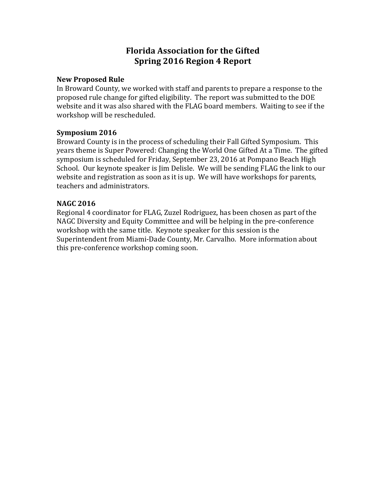## **Florida Association for the Gifted Spring 2016 Region 4 Report**

## **New Proposed Rule**

In Broward County, we worked with staff and parents to prepare a response to the proposed rule change for gifted eligibility. The report was submitted to the DOE website and it was also shared with the FLAG board members. Waiting to see if the workshop will be rescheduled.

## **Symposium 2016**

Broward County is in the process of scheduling their Fall Gifted Symposium. This years theme is Super Powered: Changing the World One Gifted At a Time. The gifted symposium is scheduled for Friday, September 23, 2016 at Pompano Beach High School. Our keynote speaker is Jim Delisle. We will be sending FLAG the link to our website and registration as soon as it is up. We will have workshops for parents, teachers and administrators.

## **NAGC 2016**

Regional 4 coordinator for FLAG, Zuzel Rodriguez, has been chosen as part of the NAGC Diversity and Equity Committee and will be helping in the pre-conference workshop with the same title. Keynote speaker for this session is the Superintendent from Miami-Dade County, Mr. Carvalho. More information about this pre-conference workshop coming soon.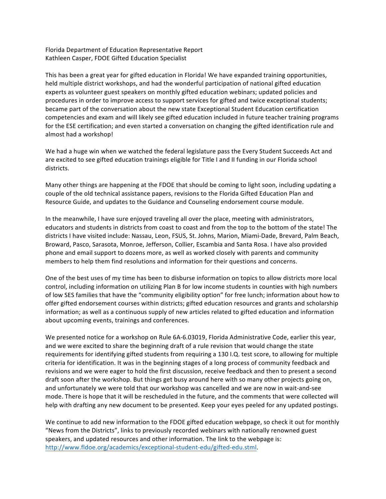Florida Department of Education Representative Report Kathleen Casper, FDOE Gifted Education Specialist

This has been a great year for gifted education in Florida! We have expanded training opportunities, held multiple district workshops, and had the wonderful participation of national gifted education experts as volunteer guest speakers on monthly gifted education webinars; updated policies and procedures in order to improve access to support services for gifted and twice exceptional students; became part of the conversation about the new state Exceptional Student Education certification competencies and exam and will likely see gifted education included in future teacher training programs for the ESE certification; and even started a conversation on changing the gifted identification rule and almost had a workshop!

We had a huge win when we watched the federal legislature pass the Every Student Succeeds Act and are excited to see gifted education trainings eligible for Title I and II funding in our Florida school districts.

Many other things are happening at the FDOE that should be coming to light soon, including updating a couple of the old technical assistance papers, revisions to the Florida Gifted Education Plan and Resource Guide, and updates to the Guidance and Counseling endorsement course module.

In the meanwhile, I have sure enjoyed traveling all over the place, meeting with administrators, educators and students in districts from coast to coast and from the top to the bottom of the state! The districts I have visited include: Nassau, Leon, FSUS, St. Johns, Marion, Miami-Dade, Brevard, Palm Beach, Broward, Pasco, Sarasota, Monroe, Jefferson, Collier, Escambia and Santa Rosa. I have also provided phone and email support to dozens more, as well as worked closely with parents and community members to help them find resolutions and information for their questions and concerns.

One of the best uses of my time has been to disburse information on topics to allow districts more local control, including information on utilizing Plan B for low income students in counties with high numbers of low SES families that have the "community eligibility option" for free lunch; information about how to offer gifted endorsement courses within districts; gifted education resources and grants and scholarship information; as well as a continuous supply of new articles related to gifted education and information about upcoming events, trainings and conferences.

We presented notice for a workshop on Rule 6A-6.03019, Florida Administrative Code, earlier this year, and we were excited to share the beginning draft of a rule revision that would change the state requirements for identifying gifted students from requiring a 130 I.Q. test score, to allowing for multiple criteria for identification. It was in the beginning stages of a long process of community feedback and revisions and we were eager to hold the first discussion, receive feedback and then to present a second draft soon after the workshop. But things get busy around here with so many other projects going on, and unfortunately we were told that our workshop was cancelled and we are now in wait-and-see mode. There is hope that it will be rescheduled in the future, and the comments that were collected will help with drafting any new document to be presented. Keep your eyes peeled for any updated postings.

We continue to add new information to the FDOE gifted education webpage, so check it out for monthly "News from the Districts", links to previously recorded webinars with nationally renowned guest speakers, and updated resources and other information. The link to the webpage is: http://www.fldoe.org/academics/exceptional-student-edu/gifted-edu.stml.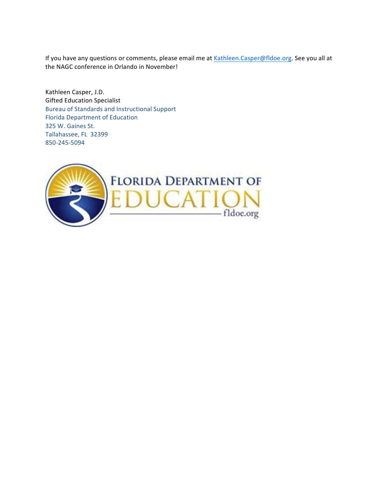If you have any questions or comments, please email me at Kathleen.Casper@fldoe.org. See you all at the NAGC conference in Orlando in November!

Kathleen Casper, J.D. Gifted Education Specialist Bureau of Standards and Instructional Support Florida Department of Education 325 W. Gaines St. Tallahassee, FL 32399 850-245-5094

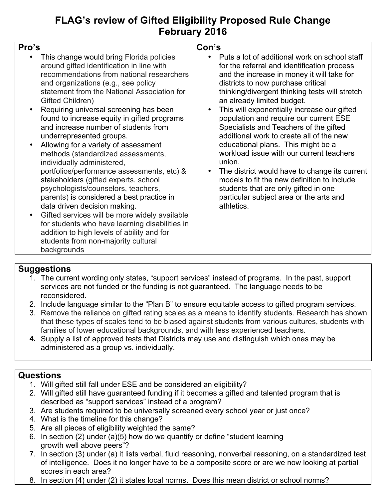# **FLAG's review of Gifted Eligibility Proposed Rule Change February 2016**

| Pro's                                                                                                                                                                                                                                                                                                                                                                                                                                                                                                                                                                                                                                                                                                                                                                                                                                                                                                                                                                                      | Con's                                                                                                                                                                                                                                                                                                                                                                                                                                                                                                                                                                                                                                                                                                                                                                               |
|--------------------------------------------------------------------------------------------------------------------------------------------------------------------------------------------------------------------------------------------------------------------------------------------------------------------------------------------------------------------------------------------------------------------------------------------------------------------------------------------------------------------------------------------------------------------------------------------------------------------------------------------------------------------------------------------------------------------------------------------------------------------------------------------------------------------------------------------------------------------------------------------------------------------------------------------------------------------------------------------|-------------------------------------------------------------------------------------------------------------------------------------------------------------------------------------------------------------------------------------------------------------------------------------------------------------------------------------------------------------------------------------------------------------------------------------------------------------------------------------------------------------------------------------------------------------------------------------------------------------------------------------------------------------------------------------------------------------------------------------------------------------------------------------|
| This change would bring Florida policies<br>$\bullet$<br>around gifted identification in line with<br>recommendations from national researchers<br>and organizations (e.g., see policy<br>statement from the National Association for<br>Gifted Children)<br>Requiring universal screening has been<br>$\bullet$<br>found to increase equity in gifted programs<br>and increase number of students from<br>underrepresented groups.<br>Allowing for a variety of assessment<br>$\bullet$<br>methods (standardized assessments,<br>individually administered,<br>portfolios/performance assessments, etc) &<br>stakeholders (gifted experts, school<br>psychologists/counselors, teachers,<br>parents) is considered a best practice in<br>data driven decision making.<br>Gifted services will be more widely available<br>$\bullet$<br>for students who have learning disabilities in<br>addition to high levels of ability and for<br>students from non-majority cultural<br>backgrounds | Puts a lot of additional work on school staff<br>$\bullet$<br>for the referral and identification process<br>and the increase in money it will take for<br>districts to now purchase critical<br>thinking/divergent thinking tests will stretch<br>an already limited budget.<br>This will exponentially increase our gifted<br>$\bullet$<br>population and require our current ESE<br>Specialists and Teachers of the gifted<br>additional work to create all of the new<br>educational plans. This might be a<br>workload issue with our current teachers<br>union.<br>The district would have to change its current<br>$\bullet$<br>models to fit the new definition to include<br>students that are only gifted in one<br>particular subject area or the arts and<br>athletics. |

## **Suggestions**

- 1. The current wording only states, "support services" instead of programs. In the past, support services are not funded or the funding is not guaranteed. The language needs to be reconsidered.
- 2. Include language similar to the "Plan B" to ensure equitable access to gifted program services.
- 3. Remove the reliance on gifted rating scales as a means to identify students. Research has shown that these types of scales tend to be biased against students from various cultures, students with families of lower educational backgrounds, and with less experienced teachers.
- **4.** Supply a list of approved tests that Districts may use and distinguish which ones may be administered as a group vs. individually.

## **Questions**

- 1. Will gifted still fall under ESE and be considered an eligibility?
- 2. Will gifted still have guaranteed funding if it becomes a gifted and talented program that is described as "support services" instead of a program?
- 3. Are students required to be universally screened every school year or just once?
- 4. What is the timeline for this change?
- 5. Are all pieces of eligibility weighted the same?
- 6. In section (2) under (a)(5) how do we quantify or define "student learning growth well above peers"?
- 7. In section (3) under (a) it lists verbal, fluid reasoning, nonverbal reasoning, on a standardized test of intelligence. Does it no longer have to be a composite score or are we now looking at partial scores in each area?
- 8. In section (4) under (2) it states local norms. Does this mean district or school norms?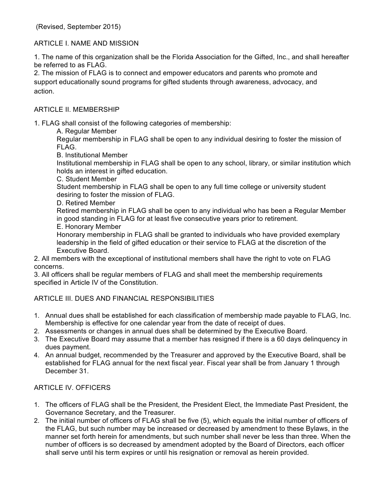## ARTICLE I. NAME AND MISSION

1. The name of this organization shall be the Florida Association for the Gifted, Inc., and shall hereafter be referred to as FLAG.

2. The mission of FLAG is to connect and empower educators and parents who promote and support educationally sound programs for gifted students through awareness, advocacy, and action.

### ARTICLE II. MEMBERSHIP

1. FLAG shall consist of the following categories of membership:

A. Regular Member

Regular membership in FLAG shall be open to any individual desiring to foster the mission of FLAG.

B. Institutional Member

Institutional membership in FLAG shall be open to any school, library, or similar institution which holds an interest in gifted education.

C. Student Member

Student membership in FLAG shall be open to any full time college or university student desiring to foster the mission of FLAG.

D. Retired Member

Retired membership in FLAG shall be open to any individual who has been a Regular Member in good standing in FLAG for at least five consecutive years prior to retirement.

E. Honorary Member

Honorary membership in FLAG shall be granted to individuals who have provided exemplary leadership in the field of gifted education or their service to FLAG at the discretion of the Executive Board.

2. All members with the exceptional of institutional members shall have the right to vote on FLAG concerns.

3. All officers shall be regular members of FLAG and shall meet the membership requirements specified in Article IV of the Constitution.

## ARTICLE III. DUES AND FINANCIAL RESPONSIBILITIES

- 1. Annual dues shall be established for each classification of membership made payable to FLAG, Inc. Membership is effective for one calendar year from the date of receipt of dues.
- 2. Assessments or changes in annual dues shall be determined by the Executive Board.
- 3. The Executive Board may assume that a member has resigned if there is a 60 days delinquency in dues payment.
- 4. An annual budget, recommended by the Treasurer and approved by the Executive Board, shall be established for FLAG annual for the next fiscal year. Fiscal year shall be from January 1 through December 31.

## ARTICLE IV. OFFICERS

- 1. The officers of FLAG shall be the President, the President Elect, the Immediate Past President, the Governance Secretary, and the Treasurer.
- 2. The initial number of officers of FLAG shall be five (5), which equals the initial number of officers of the FLAG, but such number may be increased or decreased by amendment to these Bylaws, in the manner set forth herein for amendments, but such number shall never be less than three. When the number of officers is so decreased by amendment adopted by the Board of Directors, each officer shall serve until his term expires or until his resignation or removal as herein provided.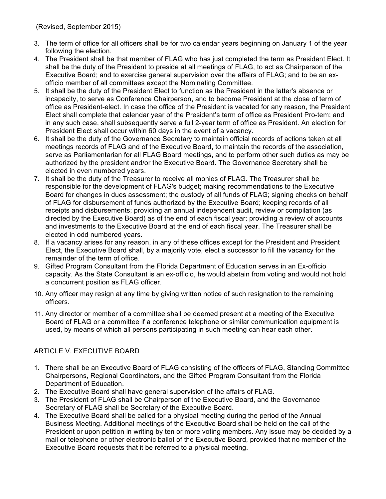- 3. The term of office for all officers shall be for two calendar years beginning on January 1 of the year following the election.
- 4. The President shall be that member of FLAG who has just completed the term as President Elect. It shall be the duty of the President to preside at all meetings of FLAG, to act as Chairperson of the Executive Board; and to exercise general supervision over the affairs of FLAG; and to be an exofficio member of all committees except the Nominating Committee.
- 5. It shall be the duty of the President Elect to function as the President in the latter's absence or incapacity, to serve as Conference Chairperson, and to become President at the close of term of office as President-elect. In case the office of the President is vacated for any reason, the President Elect shall complete that calendar year of the President's term of office as President Pro-tem; and in any such case, shall subsequently serve a full 2-year term of office as President. An election for President Elect shall occur within 60 days in the event of a vacancy.
- 6. It shall be the duty of the Governance Secretary to maintain official records of actions taken at all meetings records of FLAG and of the Executive Board, to maintain the records of the association, serve as Parliamentarian for all FLAG Board meetings, and to perform other such duties as may be authorized by the president and/or the Executive Board. The Governance Secretary shall be elected in even numbered years.
- 7. It shall be the duty of the Treasurer to receive all monies of FLAG. The Treasurer shall be responsible for the development of FLAG's budget; making recommendations to the Executive Board for changes in dues assessment; the custody of all funds of FLAG; signing checks on behalf of FLAG for disbursement of funds authorized by the Executive Board; keeping records of all receipts and disbursements; providing an annual independent audit, review or compilation (as directed by the Executive Board) as of the end of each fiscal year; providing a review of accounts and investments to the Executive Board at the end of each fiscal year. The Treasurer shall be elected in odd numbered years.
- 8. If a vacancy arises for any reason, in any of these offices except for the President and President Elect, the Executive Board shall, by a majority vote, elect a successor to fill the vacancy for the remainder of the term of office.
- 9. Gifted Program Consultant from the Florida Department of Education serves in an Ex-officio capacity. As the State Consultant is an ex-officio, he would abstain from voting and would not hold a concurrent position as FLAG officer.
- 10. Any officer may resign at any time by giving written notice of such resignation to the remaining officers.
- 11. Any director or member of a committee shall be deemed present at a meeting of the Executive Board of FLAG or a committee if a conference telephone or similar communication equipment is used, by means of which all persons participating in such meeting can hear each other.

## ARTICLE V. EXECUTIVE BOARD

- 1. There shall be an Executive Board of FLAG consisting of the officers of FLAG, Standing Committee Chairpersons, Regional Coordinators, and the Gifted Program Consultant from the Florida Department of Education.
- 2. The Executive Board shall have general supervision of the affairs of FLAG.
- 3. The President of FLAG shall be Chairperson of the Executive Board, and the Governance Secretary of FLAG shall be Secretary of the Executive Board.
- 4. The Executive Board shall be called for a physical meeting during the period of the Annual Business Meeting. Additional meetings of the Executive Board shall be held on the call of the President or upon petition in writing by ten or more voting members. Any issue may be decided by a mail or telephone or other electronic ballot of the Executive Board, provided that no member of the Executive Board requests that it be referred to a physical meeting.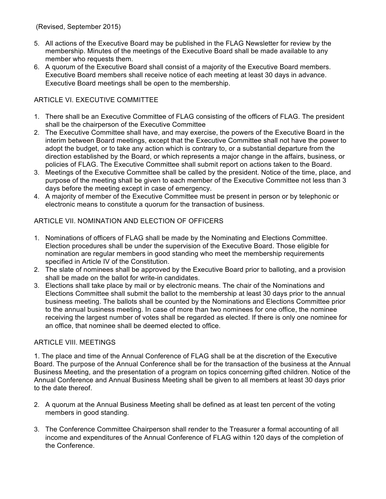#### (Revised, September 2015)

- 5. All actions of the Executive Board may be published in the FLAG Newsletter for review by the membership. Minutes of the meetings of the Executive Board shall be made available to any member who requests them.
- 6. A quorum of the Executive Board shall consist of a majority of the Executive Board members. Executive Board members shall receive notice of each meeting at least 30 days in advance. Executive Board meetings shall be open to the membership.

## ARTICLE VI. EXECUTIVE COMMITTEE

- 1. There shall be an Executive Committee of FLAG consisting of the officers of FLAG. The president shall be the chairperson of the Executive Committee
- 2. The Executive Committee shall have, and may exercise, the powers of the Executive Board in the interim between Board meetings, except that the Executive Committee shall not have the power to adopt the budget, or to take any action which is contrary to, or a substantial departure from the direction established by the Board, or which represents a major change in the affairs, business, or policies of FLAG. The Executive Committee shall submit report on actions taken to the Board.
- 3. Meetings of the Executive Committee shall be called by the president. Notice of the time, place, and purpose of the meeting shall be given to each member of the Executive Committee not less than 3 days before the meeting except in case of emergency.
- 4. A majority of member of the Executive Committee must be present in person or by telephonic or electronic means to constitute a quorum for the transaction of business.

#### ARTICLE VII. NOMINATION AND ELECTION OF OFFICERS

- 1. Nominations of officers of FLAG shall be made by the Nominating and Elections Committee. Election procedures shall be under the supervision of the Executive Board. Those eligible for nomination are regular members in good standing who meet the membership requirements specified in Article IV of the Constitution.
- 2. The slate of nominees shall be approved by the Executive Board prior to balloting, and a provision shall be made on the ballot for write-in candidates.
- 3. Elections shall take place by mail or by electronic means. The chair of the Nominations and Elections Committee shall submit the ballot to the membership at least 30 days prior to the annual business meeting. The ballots shall be counted by the Nominations and Elections Committee prior to the annual business meeting. In case of more than two nominees for one office, the nominee receiving the largest number of votes shall be regarded as elected. If there is only one nominee for an office, that nominee shall be deemed elected to office.

#### ARTICLE VIII. MEETINGS

1. The place and time of the Annual Conference of FLAG shall be at the discretion of the Executive Board. The purpose of the Annual Conference shall be for the transaction of the business at the Annual Business Meeting, and the presentation of a program on topics concerning gifted children. Notice of the Annual Conference and Annual Business Meeting shall be given to all members at least 30 days prior to the date thereof.

- 2. A quorum at the Annual Business Meeting shall be defined as at least ten percent of the voting members in good standing.
- 3. The Conference Committee Chairperson shall render to the Treasurer a formal accounting of all income and expenditures of the Annual Conference of FLAG within 120 days of the completion of the Conference.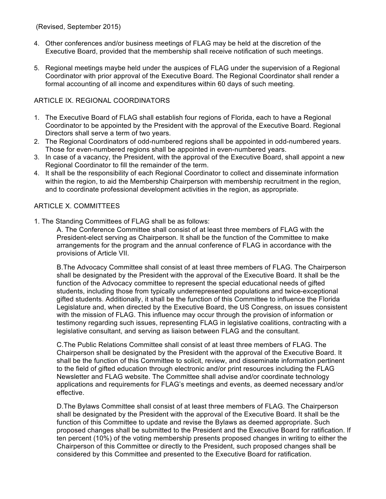(Revised, September 2015)

- 4. Other conferences and/or business meetings of FLAG may be held at the discretion of the Executive Board, provided that the membership shall receive notification of such meetings.
- 5. Regional meetings maybe held under the auspices of FLAG under the supervision of a Regional Coordinator with prior approval of the Executive Board. The Regional Coordinator shall render a formal accounting of all income and expenditures within 60 days of such meeting.

## ARTICLE IX. REGIONAL COORDINATORS

- 1. The Executive Board of FLAG shall establish four regions of Florida, each to have a Regional Coordinator to be appointed by the President with the approval of the Executive Board. Regional Directors shall serve a term of two years.
- 2. The Regional Coordinators of odd-numbered regions shall be appointed in odd-numbered years. Those for even-numbered regions shall be appointed in even-numbered years.
- 3. In case of a vacancy, the President, with the approval of the Executive Board, shall appoint a new Regional Coordinator to fill the remainder of the term.
- 4. It shall be the responsibility of each Regional Coordinator to collect and disseminate information within the region, to aid the Membership Chairperson with membership recruitment in the region, and to coordinate professional development activities in the region, as appropriate.

#### ARTICLE X. COMMITTEES

1. The Standing Committees of FLAG shall be as follows:

A. The Conference Committee shall consist of at least three members of FLAG with the President-elect serving as Chairperson. It shall be the function of the Committee to make arrangements for the program and the annual conference of FLAG in accordance with the provisions of Article VII.

B.The Advocacy Committee shall consist of at least three members of FLAG. The Chairperson shall be designated by the President with the approval of the Executive Board. It shall be the function of the Advocacy committee to represent the special educational needs of gifted students, including those from typically underrepresented populations and twice-exceptional gifted students. Additionally, it shall be the function of this Committee to influence the Florida Legislature and, when directed by the Executive Board, the US Congress, on issues consistent with the mission of FLAG. This influence may occur through the provision of information or testimony regarding such issues, representing FLAG in legislative coalitions, contracting with a legislative consultant, and serving as liaison between FLAG and the consultant.

C.The Public Relations Committee shall consist of at least three members of FLAG. The Chairperson shall be designated by the President with the approval of the Executive Board. It shall be the function of this Committee to solicit, review, and disseminate information pertinent to the field of gifted education through electronic and/or print resources including the FLAG Newsletter and FLAG website. The Committee shall advise and/or coordinate technology applications and requirements for FLAG's meetings and events, as deemed necessary and/or effective.

D.The Bylaws Committee shall consist of at least three members of FLAG. The Chairperson shall be designated by the President with the approval of the Executive Board. It shall be the function of this Committee to update and revise the Bylaws as deemed appropriate. Such proposed changes shall be submitted to the President and the Executive Board for ratification. If ten percent (10%) of the voting membership presents proposed changes in writing to either the Chairperson of this Committee or directly to the President, such proposed changes shall be considered by this Committee and presented to the Executive Board for ratification.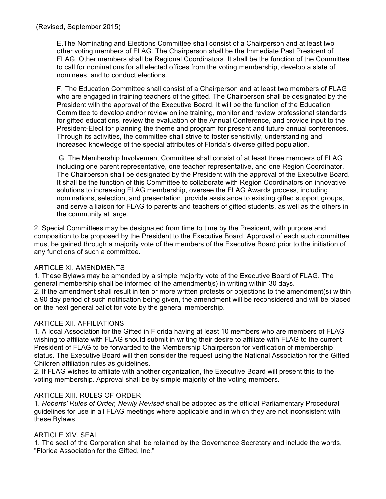E.The Nominating and Elections Committee shall consist of a Chairperson and at least two other voting members of FLAG. The Chairperson shall be the Immediate Past President of FLAG. Other members shall be Regional Coordinators. It shall be the function of the Committee to call for nominations for all elected offices from the voting membership, develop a slate of nominees, and to conduct elections.

F. The Education Committee shall consist of a Chairperson and at least two members of FLAG who are engaged in training teachers of the gifted. The Chairperson shall be designated by the President with the approval of the Executive Board. It will be the function of the Education Committee to develop and/or review online training, monitor and review professional standards for gifted educations, review the evaluation of the Annual Conference, and provide input to the President-Elect for planning the theme and program for present and future annual conferences. Through its activities, the committee shall strive to foster sensitivity, understanding and increased knowledge of the special attributes of Florida's diverse gifted population.

G. The Membership Involvement Committee shall consist of at least three members of FLAG including one parent representative, one teacher representative, and one Region Coordinator. The Chairperson shall be designated by the President with the approval of the Executive Board. It shall be the function of this Committee to collaborate with Region Coordinators on innovative solutions to increasing FLAG membership, oversee the FLAG Awards process, including nominations, selection, and presentation, provide assistance to existing gifted support groups, and serve a liaison for FLAG to parents and teachers of gifted students, as well as the others in the community at large.

2. Special Committees may be designated from time to time by the President, with purpose and composition to be proposed by the President to the Executive Board. Approval of each such committee must be gained through a majority vote of the members of the Executive Board prior to the initiation of any functions of such a committee.

## ARTICLE XI. AMENDMENTS

1. These Bylaws may be amended by a simple majority vote of the Executive Board of FLAG. The general membership shall be informed of the amendment(s) in writing within 30 days. 2. If the amendment shall result in ten or more written protests or objections to the amendment(s) within a 90 day period of such notification being given, the amendment will be reconsidered and will be placed on the next general ballot for vote by the general membership.

#### ARTICLE XII. AFFILIATIONS

1. A local Association for the Gifted in Florida having at least 10 members who are members of FLAG wishing to affiliate with FLAG should submit in writing their desire to affiliate with FLAG to the current President of FLAG to be forwarded to the Membership Chairperson for verification of membership status. The Executive Board will then consider the request using the National Association for the Gifted Children affiliation rules as guidelines.

2. If FLAG wishes to affiliate with another organization, the Executive Board will present this to the voting membership. Approval shall be by simple majority of the voting members.

#### ARTICLE XIII. RULES OF ORDER

1. *Roberts' Rules of Order, Newly Revised* shall be adopted as the official Parliamentary Procedural guidelines for use in all FLAG meetings where applicable and in which they are not inconsistent with these Bylaws.

#### ARTICLE XIV. SEAL

1. The seal of the Corporation shall be retained by the Governance Secretary and include the words, "Florida Association for the Gifted, Inc."